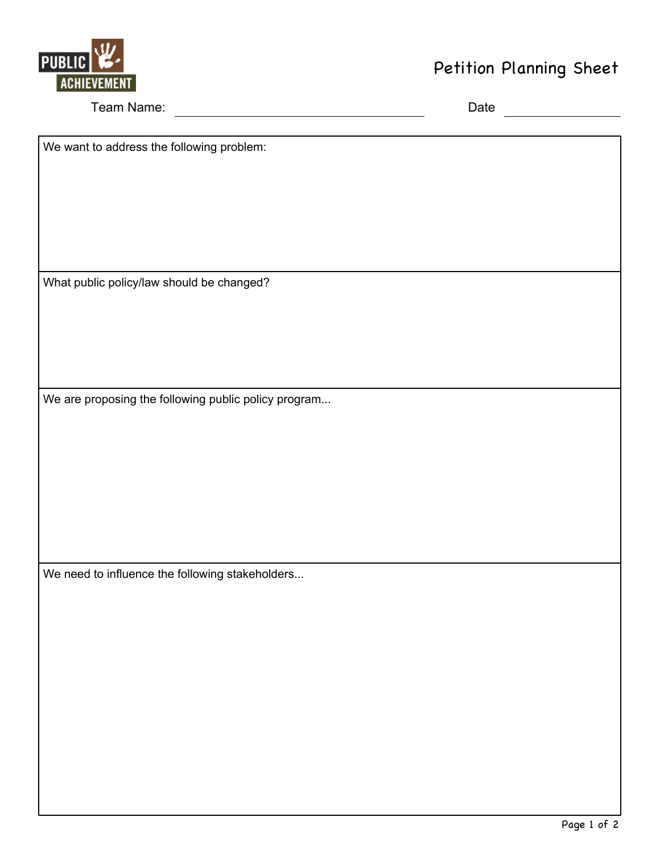

## **Petiti on Pl annin g Sh eet**

Team Name: <u>Name: Alexander School and School and School and Date</u>

We want to address the following problem:

What public policy/law should be changed?

We are proposing the following public policy program...

We need to influence the following stakeholders...